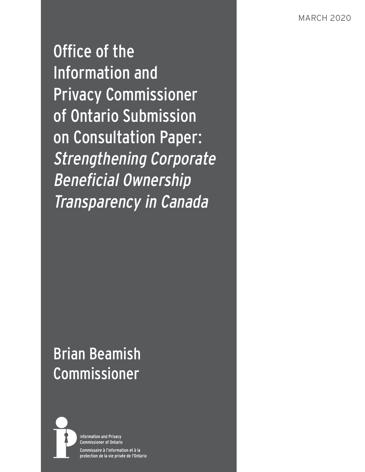Office of the Information and Privacy Commissioner of Ontario Submission on Consultation Paper: Strengthening Corporate Beneficial Ownership Transparency in Canada

# Brian Beamish Commissioner



**Information and Privacy Commissioner of Ontario** Commissaire à l'information et à la protection de la vie privée de l'Ontario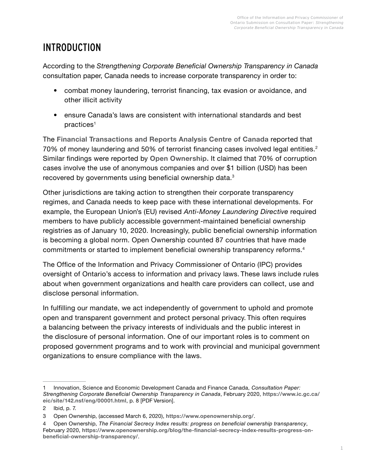# INTRODUCTION

According to the *Strengthening Corporate Beneficial Ownership Transparency in Canada* consultation paper, Canada needs to increase corporate transparency in order to:

- combat money laundering, terrorist financing, tax evasion or avoidance, and other illicit activity
- ensure Canada's laws are consistent with international standards and best practices<sup>1</sup>

The **[Financial Transactions and Reports Analysis Centre of Canada](https://www.fintrac-canafe.gc.ca/intro-eng)** reported that 70% of money laundering and 50% of terrorist financing cases involved legal entities.<sup>2</sup> Similar findings were reported by **[Open Ownership.](https://www.openownership.org/)** It claimed that 70% of corruption cases involve the use of anonymous companies and over \$1 billion (USD) has been recovered by governments using beneficial ownership data. $^3$ 

Other jurisdictions are taking action to strengthen their corporate transparency regimes, and Canada needs to keep pace with these international developments. For example, the European Union's (EU) revised *Anti-Money Laundering Directive* required members to have publicly accessible government-maintained beneficial ownership registries as of January 10, 2020. Increasingly, public beneficial ownership information is becoming a global norm. Open Ownership counted 87 countries that have made commitments or started to implement beneficial ownership transparency reforms.<sup>4</sup>

The Office of the Information and Privacy Commissioner of Ontario (IPC) provides oversight of Ontario's access to information and privacy laws. These laws include rules about when government organizations and health care providers can collect, use and disclose personal information.

In fulfilling our mandate, we act independently of government to uphold and promote open and transparent government and protect personal privacy. This often requires a balancing between the privacy interests of individuals and the public interest in the disclosure of personal information. One of our important roles is to comment on proposed government programs and to work with provincial and municipal government organizations to ensure compliance with the laws.

<sup>1</sup> Innovation, Science and Economic Development Canada and Finance Canada, *Consultation Paper: Strengthening Corporate Beneficial Ownership Transparency in Canada*, February 2020, **[https://www.ic.gc.ca/](https://www.ic.gc.ca/eic/site/142.nsf/eng/00001.html) [eic/site/142.nsf/eng/00001.html](https://www.ic.gc.ca/eic/site/142.nsf/eng/00001.html)**, p. 8 [PDF Version].

<sup>2</sup> Ibid, p. 7.

<sup>3</sup> Open Ownership, (accessed March 6, 2020), **<https://www.openownership.org/>**.

<sup>4</sup> Open Ownership, *The Financial Secrecy Index results: progress on beneficial ownership transparency*, February 2020, **[https://www.openownership.org/blog/the-financial-secrecy-index-results-progress-on](https://www.openownership.org/blog/the-financial-secrecy-index-results-progress-on-beneficial-ownership-transparency/)[beneficial-ownership-transparency/](https://www.openownership.org/blog/the-financial-secrecy-index-results-progress-on-beneficial-ownership-transparency/)**.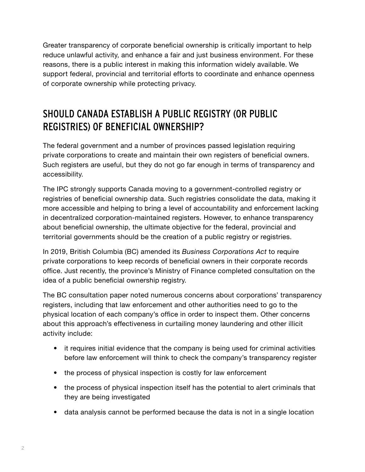Greater transparency of corporate beneficial ownership is critically important to help reduce unlawful activity, and enhance a fair and just business environment. For these reasons, there is a public interest in making this information widely available. We support federal, provincial and territorial efforts to coordinate and enhance openness of corporate ownership while protecting privacy.

# SHOULD CANADA ESTABLISH A PUBLIC REGISTRY (OR PUBLIC REGISTRIES) OF BENEFICIAL OWNERSHIP?

The federal government and a number of provinces passed legislation requiring private corporations to create and maintain their own registers of beneficial owners. Such registers are useful, but they do not go far enough in terms of transparency and accessibility.

The IPC strongly supports Canada moving to a government-controlled registry or registries of beneficial ownership data. Such registries consolidate the data, making it more accessible and helping to bring a level of accountability and enforcement lacking in decentralized corporation-maintained registers. However, to enhance transparency about beneficial ownership, the ultimate objective for the federal, provincial and territorial governments should be the creation of a public registry or registries.

In 2019, British Columbia (BC) amended its *Business Corporations Act* to require private corporations to keep records of beneficial owners in their corporate records office. Just recently, the province's Ministry of Finance completed consultation on the idea of a public beneficial ownership registry.

The BC consultation paper noted numerous concerns about corporations' transparency registers, including that law enforcement and other authorities need to go to the physical location of each company's office in order to inspect them. Other concerns about this approach's effectiveness in curtailing money laundering and other illicit activity include:

- it requires initial evidence that the company is being used for criminal activities before law enforcement will think to check the company's transparency register
- the process of physical inspection is costly for law enforcement
- the process of physical inspection itself has the potential to alert criminals that they are being investigated
- data analysis cannot be performed because the data is not in a single location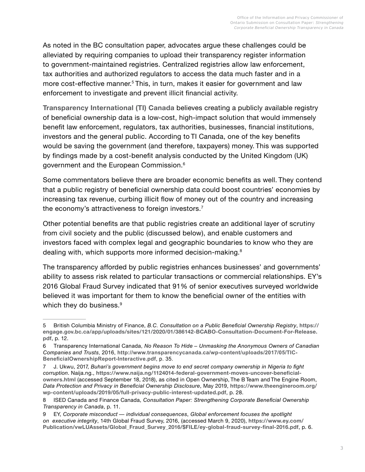As noted in the BC consultation paper, advocates argue these challenges could be alleviated by requiring companies to upload their transparency register information to government-maintained registries. Centralized registries allow law enforcement, tax authorities and authorized regulators to access the data much faster and in a more cost-effective manner.<sup>5</sup> This, in turn, makes it easier for government and law enforcement to investigate and prevent illicit financial activity.

**[Transparency International \(TI\) Canada](http://www.transparencycanada.ca/?)** believes creating a publicly available registry of beneficial ownership data is a low-cost, high-impact solution that would immensely benefit law enforcement, regulators, tax authorities, businesses, financial institutions, investors and the general public. According to TI Canada, one of the key benefits would be saving the government (and therefore, taxpayers) money. This was supported by findings made by a cost-benefit analysis conducted by the United Kingdom (UK) government and the European Commission.6

Some commentators believe there are broader economic benefits as well. They contend that a public registry of beneficial ownership data could boost countries' economies by increasing tax revenue, curbing illicit flow of money out of the country and increasing the economy's attractiveness to foreign investors.<sup>7</sup>

Other potential benefits are that public registries create an additional layer of scrutiny from civil society and the public (discussed below), and enable customers and investors faced with complex legal and geographic boundaries to know who they are dealing with, which supports more informed decision-making.<sup>8</sup>

The transparency afforded by public registries enhances businesses' and governments' ability to assess risk related to particular transactions or commercial relationships. EY's 2016 Global Fraud Survey indicated that 91% of senior executives surveyed worldwide believed it was important for them to know the beneficial owner of the entities with which they do business.<sup>9</sup>

<sup>5</sup> British Columbia Ministry of Finance, *B.C. Consultation on a Public Beneficial Ownership Registry*, **[https://](https://engage.gov.bc.ca/app/uploads/sites/121/2020/01/386142-BCABO-Consultation-Document-For-Release.pdf) [engage.gov.bc.ca/app/uploads/sites/121/2020/01/386142-BCABO-Consultation-Document-For-Release.](https://engage.gov.bc.ca/app/uploads/sites/121/2020/01/386142-BCABO-Consultation-Document-For-Release.pdf) [pdf](https://engage.gov.bc.ca/app/uploads/sites/121/2020/01/386142-BCABO-Consultation-Document-For-Release.pdf)**, p. 12.

<sup>6</sup> Transparency International Canada, *No Reason To Hide – Unmasking the Anonymous Owners of Canadian Companies and Trusts*, 2016, **[http://www.transparencycanada.ca/wp-content/uploads/2017/05/TIC-](http://www.transparencycanada.ca/wp-content/uploads/2017/05/TIC-BeneficialOwnershipReport-Interactive.pdf)[BeneficialOwnershipReport-Interactive.pdf](http://www.transparencycanada.ca/wp-content/uploads/2017/05/TIC-BeneficialOwnershipReport-Interactive.pdf)**, p. 35.

<sup>7</sup> J. Ukwu, 2017, *Buhari's government begins move to end secret company ownership in Nigeria to fight corruption*. Naija.ng., **[https://www.naija.ng/1124014-federal-government-moves-uncover-beneficial](https://www.naija.ng/1124014-federal-government-moves-uncover-beneficial-owners.html)[owners.html](https://www.naija.ng/1124014-federal-government-moves-uncover-beneficial-owners.html)** (accessed September 18, 2018), as cited in Open Ownership, The B Team and The Engine Room, *Data Protection and Privacy in Beneficial Ownership Disclosure*, May 2019, **[https://www.theengineroom.org/](https://www.theengineroom.org/wp-content/uploads/2019/05/full-privacy-public-interest-updated.pdf) [wp-content/uploads/2019/05/full-privacy-public-interest-updated.pdf](https://www.theengineroom.org/wp-content/uploads/2019/05/full-privacy-public-interest-updated.pdf)**, p. 28.

<sup>8</sup> ISED Canada and Finance Canada, *Consultation Paper: Strengthening Corporate Beneficial Ownership Transparency in Canada*, p. 11.

<sup>9</sup> EY, *Corporate misconduct — individual consequences*, *Global enforcement focuses the spotlight on executive integrity*, 14th Global Fraud Survey, 2016, (accessed March 9, 2020), **[https://www.ey.com/](https://www.ey.com/Publication/vwLUAssets/Global_Fraud_Survey_2016/$FILE/ey-global-fraud-survey-final-2016.pdf) [Publication/vwLUAssets/Global\\_Fraud\\_Survey\\_2016/\\$FILE/ey-global-fraud-survey-final-2016.pdf](https://www.ey.com/Publication/vwLUAssets/Global_Fraud_Survey_2016/$FILE/ey-global-fraud-survey-final-2016.pdf)**, p. 6.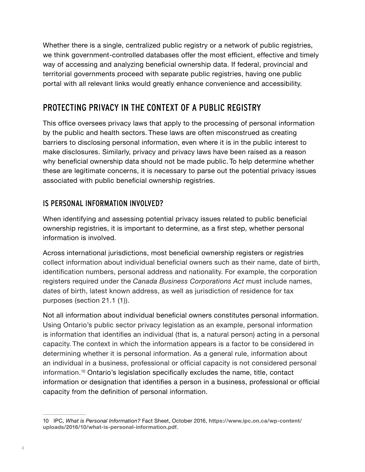Whether there is a single, centralized public registry or a network of public registries, we think government-controlled databases offer the most efficient, effective and timely way of accessing and analyzing beneficial ownership data. If federal, provincial and territorial governments proceed with separate public registries, having one public portal with all relevant links would greatly enhance convenience and accessibility.

# PROTECTING PRIVACY IN THE CONTEXT OF A PUBLIC REGISTRY

This office oversees privacy laws that apply to the processing of personal information by the public and health sectors. These laws are often misconstrued as creating barriers to disclosing personal information, even where it is in the public interest to make disclosures. Similarly, privacy and privacy laws have been raised as a reason why beneficial ownership data should not be made public. To help determine whether these are legitimate concerns, it is necessary to parse out the potential privacy issues associated with public beneficial ownership registries.

#### IS PERSONAL INFORMATION INVOLVED?

When identifying and assessing potential privacy issues related to public beneficial ownership registries, it is important to determine, as a first step, whether personal information is involved.

Across international jurisdictions, most beneficial ownership registers or registries collect information about individual beneficial owners such as their name, date of birth, identification numbers, personal address and nationality. For example, the corporation registers required under the *Canada Business Corporations Act* must include names, dates of birth, latest known address, as well as jurisdiction of residence for tax purposes (section 21.1 (1)).

Not all information about individual beneficial owners constitutes personal information. Using Ontario's public sector privacy legislation as an example, personal information is information that identifies an individual (that is, a natural person) acting in a personal capacity. The context in which the information appears is a factor to be considered in determining whether it is personal information. As a general rule, information about an individual in a business, professional or official capacity is not considered personal information.<sup>10</sup> Ontario's legislation specifically excludes the name, title, contact information or designation that identifies a person in a business, professional or official capacity from the definition of personal information.

<sup>10</sup> IPC, *What is Personal Information?* Fact Sheet, October 2016, **[https://www.ipc.on.ca/wp-content/](https://www.ipc.on.ca/wp-content/uploads/2016/10/what-is-personal-information.pdf) [uploads/2016/10/what-is-personal-information.pdf](https://www.ipc.on.ca/wp-content/uploads/2016/10/what-is-personal-information.pdf)**.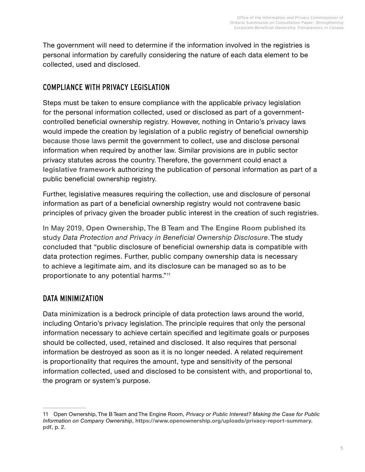The government will need to determine if the information involved in the registries is personal information by carefully considering the nature of each data element to be collected, used and disclosed.

#### COMPLIANCE WITH PRIVACY LEGISLATION

Steps must be taken to ensure compliance with the applicable privacy legislation for the personal information collected, used or disclosed as part of a governmentcontrolled beneficial ownership registry. However, nothing in Ontario's privacy laws would impede the creation by legislation of a public registry of beneficial ownership because those laws permit the government to collect, use and disclose personal information when required by another law. Similar provisions are in public sector privacy statutes across the country. Therefore, the government could enact a **[legislative framework](#page-6-0)** authorizing the publication of personal information as part of a public beneficial ownership registry.

Further, legislative measures requiring the collection, use and disclosure of personal information as part of a beneficial ownership registry would not contravene basic principles of privacy given the broader public interest in the creation of such registries.

In May 2019, **[Open Ownership](https://www.openownership.org/)**, The B Team and **[The Engine Room](https://www.theengineroom.org/)** published its study *Data Protection and Privacy in Beneficial Ownership Disclosure*.The study concluded that "public disclosure of beneficial ownership data is compatible with data protection regimes. Further, public company ownership data is necessary to achieve a legitimate aim, and its disclosure can be managed so as to be proportionate to any potential harms."<sup>11</sup>

#### <span id="page-5-0"></span>DATA MINIMIZATION

Data minimization is a bedrock principle of data protection laws around the world, including Ontario's privacy legislation. The principle requires that only the personal information necessary to achieve certain specified and legitimate goals or purposes should be collected, used, retained and disclosed. It also requires that personal information be destroyed as soon as it is no longer needed. A related requirement is proportionality that requires the amount, type and sensitivity of the personal information collected, used and disclosed to be consistent with, and proportional to, the program or system's purpose.

<sup>11</sup> Open Ownership, The B Team and The Engine Room, *Privacy or Public Interest? Making the Case for Public Information on Company Ownership*, **[https://www.openownership.org/uploads/privacy-report-summary.](https://www.openownership.org/uploads/privacy-report-summary.pdf) [pdf](https://www.openownership.org/uploads/privacy-report-summary.pdf)**, p. 2.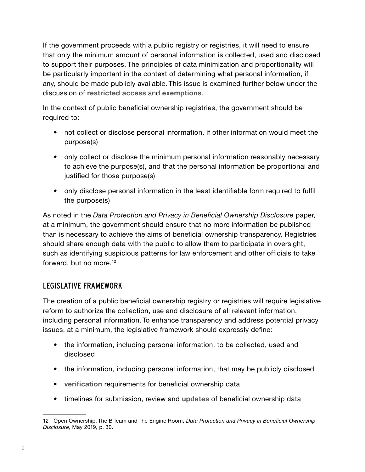If the government proceeds with a public registry or registries, it will need to ensure that only the minimum amount of personal information is collected, used and disclosed to support their purposes. The principles of data minimization and proportionality will be particularly important in the context of determining what personal information, if any, should be made publicly available. This issue is examined further below under the discussion of **[restricted access](#page-13-0)** and **[exemptions](#page-14-0)**.

In the context of public beneficial ownership registries, the government should be required to:

- not collect or disclose personal information, if other information would meet the purpose(s)
- only collect or disclose the minimum personal information reasonably necessary to achieve the purpose(s), and that the personal information be proportional and justified for those purpose(s)
- only disclose personal information in the least identifiable form required to fulfil the purpose(s)

As noted in the *Data Protection and Privacy in Beneficial Ownership Disclosure* paper, at a minimum, the government should ensure that no more information be published than is necessary to achieve the aims of beneficial ownership transparency. Registries should share enough data with the public to allow them to participate in oversight, such as identifying suspicious patterns for law enforcement and other officials to take forward, but no more.<sup>12</sup>

#### <span id="page-6-0"></span>LEGISLATIVE FRAMEWORK

The creation of a public beneficial ownership registry or registries will require legislative reform to authorize the collection, use and disclosure of all relevant information, including personal information. To enhance transparency and address potential privacy issues, at a minimum, the legislative framework should expressly define:

- the information, including personal information, to be collected, used and disclosed
- the information, including personal information, that may be publicly disclosed
- **[verification](#page-9-0)** requirements for beneficial ownership data
- timelines for submission, review and **[updates](#page-11-0)** of beneficial ownership data

<sup>12</sup> Open Ownership, The B Team and The Engine Room, *Data Protection and Privacy in Beneficial Ownership Disclosure*, May 2019, p. 30.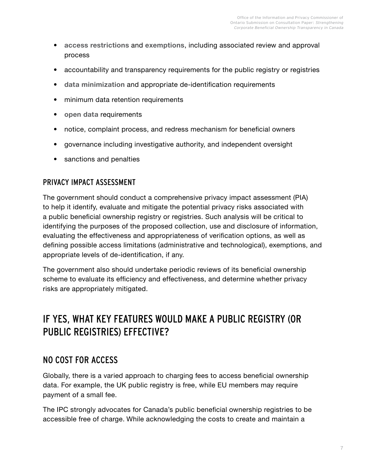- **[access restrictions](#page-13-0)** and **[exemptions](#page-14-0)**, including associated review and approval process
- accountability and transparency requirements for the public registry or registries
- **[data minimization](#page-5-0)** and appropriate de-identification requirements
- minimum data retention requirements
- **[open data](#page-16-0)** requirements
- notice, complaint process, and redress mechanism for beneficial owners
- governance including investigative authority, and independent oversight
- sanctions and penalties

#### PRIVACY IMPACT ASSESSMENT

The government should conduct a comprehensive privacy impact assessment (PIA) to help it identify, evaluate and mitigate the potential privacy risks associated with a public beneficial ownership registry or registries. Such analysis will be critical to identifying the purposes of the proposed collection, use and disclosure of information, evaluating the effectiveness and appropriateness of verification options, as well as defining possible access limitations (administrative and technological), exemptions, and appropriate levels of de-identification, if any.

The government also should undertake periodic reviews of its beneficial ownership scheme to evaluate its efficiency and effectiveness, and determine whether privacy risks are appropriately mitigated.

# IF YES, WHAT KEY FEATURES WOULD MAKE A PUBLIC REGISTRY (OR PUBLIC REGISTRIES) EFFECTIVE?

### NO COST FOR ACCESS

Globally, there is a varied approach to charging fees to access beneficial ownership data. For example, the UK public registry is free, while EU members may require payment of a small fee.

The IPC strongly advocates for Canada's public beneficial ownership registries to be accessible free of charge. While acknowledging the costs to create and maintain a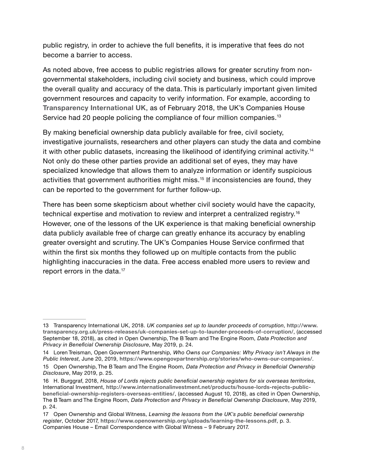public registry, in order to achieve the full benefits, it is imperative that fees do not become a barrier to access.

As noted above, free access to public registries allows for greater scrutiny from nongovernmental stakeholders, including civil society and business, which could improve the overall quality and accuracy of the data. This is particularly important given limited government resources and capacity to verify information. For example, according to **[Transparency International UK](https://www.transparency.org.uk/)**, as of February 2018, the UK's Companies House Service had 20 people policing the compliance of four million companies.<sup>13</sup>

By making beneficial ownership data publicly available for free, civil society, investigative journalists, researchers and other players can study the data and combine it with other public datasets, increasing the likelihood of identifying criminal activity.14 Not only do these other parties provide an additional set of eyes, they may have specialized knowledge that allows them to analyze information or identify suspicious activities that government authorities might miss.<sup>15</sup> If inconsistencies are found, they can be reported to the government for further follow-up.

There has been some skepticism about whether civil society would have the capacity, technical expertise and motivation to review and interpret a centralized registry.16 However, one of the lessons of the UK experience is that making beneficial ownership data publicly available free of charge can greatly enhance its accuracy by enabling greater oversight and scrutiny. The UK's Companies House Service confirmed that within the first six months they followed up on multiple contacts from the public highlighting inaccuracies in the data. Free access enabled more users to review and report errors in the data.<sup>17</sup>

<sup>13</sup> Transparency International UK, 2018. *UK companies set up to launder proceeds of corruption*, **[http://www.](http://www.transparency.org.uk/press-releases/uk-companies-set-up-to-launder-proceeds-of-corruption/) [transparency.org.uk/press-releases/uk-companies-set-up-to-launder-proceeds-of-corruption/](http://www.transparency.org.uk/press-releases/uk-companies-set-up-to-launder-proceeds-of-corruption/)**, (accessed September 18, 2018), as cited in Open Ownership, The B Team and The Engine Room, *Data Protection and Privacy in Beneficial Ownership Disclosure*, May 2019, p. 24.

<sup>14</sup> Loren Treisman, Open Government Partnership, *Who Owns our Companies: Why Privacy isn't Always in the Public Interest*, June 20, 2019, **<https://www.opengovpartnership.org/stories/who-owns-our-companies/>**.

<sup>15</sup> Open Ownership, The B Team and The Engine Room, *Data Protection and Privacy in Beneficial Ownership Disclosure*, May 2019, p. 25.

<sup>16</sup> H. Burggraf, 2018, *House of Lords rejects public beneficial ownership registers for six overseas territories*, International Investment, **[http://www.internationalinvestment.net/products/house-lords-rejects-public](http://www.internationalinvestment.net/products/house-lords-rejects-public-beneficial-ownership-registers-overseas-entities/)[beneficial-ownership-registers-overseas-entities/](http://www.internationalinvestment.net/products/house-lords-rejects-public-beneficial-ownership-registers-overseas-entities/)**, (accessed August 10, 2018), as cited in Open Ownership, The B Team and The Engine Room, *Data Protection and Privacy in Beneficial Ownership Disclosure*, May 2019, p. 24.

<sup>17</sup> Open Ownership and Global Witness, *Learning the lessons from the UK's public beneficial ownership register*, October 2017, **<https://www.openownership.org/uploads/learning-the-lessons.pdf>**, p. 3. Companies House – Email Correspondence with Global Witness – 9 February 2017.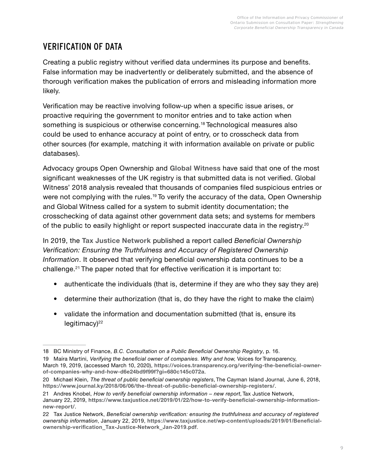# <span id="page-9-0"></span>VERIFICATION OF DATA

Creating a public registry without verified data undermines its purpose and benefits. False information may be inadvertently or deliberately submitted, and the absence of thorough verification makes the publication of errors and misleading information more likely.

Verification may be reactive involving follow-up when a specific issue arises, or proactive requiring the government to monitor entries and to take action when something is suspicious or otherwise concerning.<sup>18</sup> Technological measures also could be used to enhance accuracy at point of entry, or to crosscheck data from other sources (for example, matching it with information available on private or public databases).

Advocacy groups Open Ownership and **[Global Witness](https://www.globalwitness.org/en/)** have said that one of the most significant weaknesses of the UK registry is that submitted data is not verified. Global Witness' 2018 analysis revealed that thousands of companies filed suspicious entries or were not complying with the rules.<sup>19</sup> To verify the accuracy of the data, Open Ownership and Global Witness called for a system to submit identity documentation; the crosschecking of data against other government data sets; and systems for members of the public to easily highlight or report suspected inaccurate data in the registry.<sup>20</sup>

In 2019, the **[Tax Justice Network](https://www.taxjustice.net/)** published a report called *Beneficial Ownership Verification: Ensuring the Truthfulness and Accuracy of Registered Ownership Information*. It observed that verifying beneficial ownership data continues to be a challenge.<sup>21</sup> The paper noted that for effective verification it is important to:

- authenticate the individuals (that is, determine if they are who they say they are)
- determine their authorization (that is, do they have the right to make the claim)
- validate the information and documentation submitted (that is, ensure its  $legitimax$

<sup>18</sup> BC Ministry of Finance, *B.C. Consultation on a Public Beneficial Ownership Registry*, p. 16.

<sup>19</sup> Maíra Martini, *Verifying the beneficial owner of companies. Why and how,* Voices for Transparency, March 19, 2019, (accessed March 10, 2020), **[https://voices.transparency.org/verifying-the-beneficial-owner](https://voices.transparency.org/verifying-the-beneficial-owner-of-companies-why-and-how-d6e24bd9f99f?gi=680c145c072a)[of-companies-why-and-how-d6e24bd9f99f?gi=680c145c072a](https://voices.transparency.org/verifying-the-beneficial-owner-of-companies-why-and-how-d6e24bd9f99f?gi=680c145c072a)**.

<sup>20</sup> Michael Klein, *The threat of public beneficial ownership registers*, The Cayman Island Journal, June 6, 2018, **<https://www.journal.ky/2018/06/06/the-threat-of-public-beneficial-ownership-registers/>**.

<sup>21</sup> Andres Knobel, *How to verify beneficial ownership information – new report*, Tax Justice Network, January 22, 2019, **[https://www.taxjustice.net/2019/01/22/how-to-verify-beneficial-ownership-information](https://www.taxjustice.net/2019/01/22/how-to-verify-beneficial-ownership-information-new-report/)[new-report/](https://www.taxjustice.net/2019/01/22/how-to-verify-beneficial-ownership-information-new-report/)**.

<sup>22</sup> Tax Justice Network, *Beneficial ownership verification: ensuring the truthfulness and accuracy of registered ownership information*, January 22, 2019, **[https://www.taxjustice.net/wp-content/uploads/2019/01/Beneficial](https://www.taxjustice.net/wp-content/uploads/2019/01/Beneficial-ownership-verification_Tax-Justice-Network_Jan-2019.pdf)[ownership-verification\\_Tax-Justice-Network\\_Jan-2019.pdf](https://www.taxjustice.net/wp-content/uploads/2019/01/Beneficial-ownership-verification_Tax-Justice-Network_Jan-2019.pdf)**.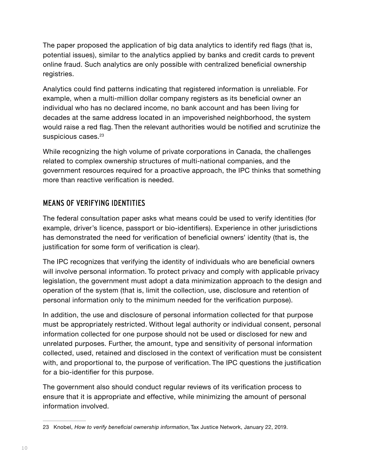The paper proposed the application of big data analytics to identify red flags (that is, potential issues), similar to the analytics applied by banks and credit cards to prevent online fraud. Such analytics are only possible with centralized beneficial ownership registries.

Analytics could find patterns indicating that registered information is unreliable. For example, when a multi-million dollar company registers as its beneficial owner an individual who has no declared income, no bank account and has been living for decades at the same address located in an impoverished neighborhood, the system would raise a red flag. Then the relevant authorities would be notified and scrutinize the suspicious cases.<sup>23</sup>

While recognizing the high volume of private corporations in Canada, the challenges related to complex ownership structures of multi-national companies, and the government resources required for a proactive approach, the IPC thinks that something more than reactive verification is needed.

#### MEANS OF VERIFYING IDENTITIES

The federal consultation paper asks what means could be used to verify identities (for example, driver's licence, passport or bio-identifiers). Experience in other jurisdictions has demonstrated the need for verification of beneficial owners' identity (that is, the justification for some form of verification is clear).

The IPC recognizes that verifying the identity of individuals who are beneficial owners will involve personal information. To protect privacy and comply with applicable privacy legislation, the government must adopt a data minimization approach to the design and operation of the system (that is, limit the collection, use, disclosure and retention of personal information only to the minimum needed for the verification purpose).

In addition, the use and disclosure of personal information collected for that purpose must be appropriately restricted. Without legal authority or individual consent, personal information collected for one purpose should not be used or disclosed for new and unrelated purposes. Further, the amount, type and sensitivity of personal information collected, used, retained and disclosed in the context of verification must be consistent with, and proportional to, the purpose of verification. The IPC questions the justification for a bio-identifier for this purpose.

The government also should conduct regular reviews of its verification process to ensure that it is appropriate and effective, while minimizing the amount of personal information involved.

<sup>23</sup> Knobel, *How to verify beneficial ownership information*, Tax Justice Network, January 22, 2019.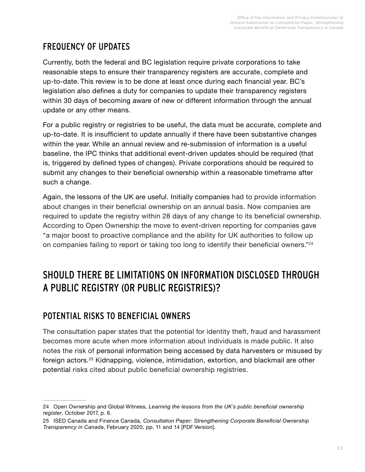# <span id="page-11-0"></span>FREQUENCY OF UPDATES

Currently, both the federal and BC legislation require private corporations to take reasonable steps to ensure their transparency registers are accurate, complete and up-to-date. This review is to be done at least once during each financial year. BC's legislation also defines a duty for companies to update their transparency registers within 30 days of becoming aware of new or different information through the annual update or any other means.

For a public registry or registries to be useful, the data must be accurate, complete and up-to-date. It is insufficient to update annually if there have been substantive changes within the year. While an annual review and re-submission of information is a useful baseline, the IPC thinks that additional event-driven updates should be required (that is, triggered by defined types of changes). Private corporations should be required to submit any changes to their beneficial ownership within a reasonable timeframe after such a change.

Again, the lessons of the UK are useful. Initially companies had to provide information about changes in their beneficial ownership on an annual basis. Now companies are required to update the registry within 28 days of any change to its beneficial ownership. According to Open Ownership the move to event-driven reporting for companies gave "a major boost to proactive compliance and the ability for UK authorities to follow up on companies failing to report or taking too long to identify their beneficial owners."<sup>24</sup>

# SHOULD THERE BE LIMITATIONS ON INFORMATION DISCLOSED THROUGH A PUBLIC REGISTRY (OR PUBLIC REGISTRIES)?

## POTENTIAL RISKS TO BENEFICIAL OWNERS

The consultation paper states that the potential for identity theft, fraud and harassment becomes more acute when more information about individuals is made public. It also notes the risk of personal information being accessed by data harvesters or misused by foreign actors.<sup>25</sup> Kidnapping, violence, intimidation, extortion, and blackmail are other potential risks cited about public beneficial ownership registries.

<sup>24</sup> Open Ownership and Global Witness, *Learning the lessons from the UK's public beneficial ownership register*, October 2017, p. 6.

<sup>25</sup> ISED Canada and Finance Canada, *Consultation Paper: Strengthening Corporate Beneficial Ownership Transparency in Canada*, February 2020, pp. 11 and 14 [PDF Version].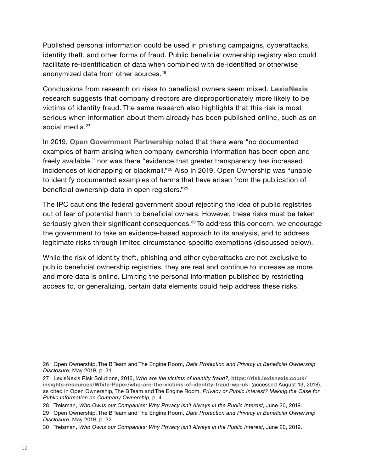Published personal information could be used in phishing campaigns, cyberattacks, identity theft, and other forms of fraud. Public beneficial ownership registry also could facilitate re-identification of data when combined with de-identified or otherwise anonymized data from other sources.26

Conclusions from research on risks to beneficial owners seem mixed. **[LexisNexis](https://www.lexisnexis.ca/en-ca/home.page)** research suggests that company directors are disproportionately more likely to be victims of identity fraud. The same research also highlights that this risk is most serious when information about them already has been published online, such as on social media.<sup>27</sup>

In 2019, **[Open Government Partnership](https://www.opengovpartnership.org/)** noted that there were "no documented examples of harm arising when company ownership information has been open and freely available," nor was there "evidence that greater transparency has increased incidences of kidnapping or blackmail."28 Also in 2019, Open Ownership was "unable to identify documented examples of harms that have arisen from the publication of beneficial ownership data in open registers."<sup>29</sup>

The IPC cautions the federal government about rejecting the idea of public registries out of fear of potential harm to beneficial owners. However, these risks must be taken seriously given their significant consequences.<sup>30</sup> To address this concern, we encourage the government to take an evidence-based approach to its analysis, and to address legitimate risks through limited circumstance-specific exemptions (discussed below).

While the risk of identity theft, phishing and other cyberattacks are not exclusive to public beneficial ownership registries, they are real and continue to increase as more and more data is online. Limiting the personal information published by restricting access to, or generalizing, certain data elements could help address these risks.

<sup>26</sup> Open Ownership, The B Team and The Engine Room, *Data Protection and Privacy in Beneficial Ownership Disclosure*, May 2019, p. 31.

<sup>27</sup> LexisNexis Risk Solutions, 2016, *Who are the victims of identity fraud?,* **[https://risk.lexisnexis.co.uk/](https://risk.lexisnexis.co.uk/insights-resources/White-Paper/who-are-the-victims-of-identity-fraud-wp-uk) [insights-resources/White-Paper/who-are-the-victims-of-identity-fraud-wp-uk](https://risk.lexisnexis.co.uk/insights-resources/White-Paper/who-are-the-victims-of-identity-fraud-wp-uk)** (accessed August 13, 2018), as cited in Open Ownership, The B Team and The Engine Room, *Privacy or Public Interest? Making the Case for Public Information on Company Ownership*, p. 4.

<sup>28</sup> Treisman, *Who Owns our Companies: Why Privacy isn't Always in the Public Interest*, June 20, 2019.

<sup>29</sup> Open Ownership, The B Team and The Engine Room, *Data Protection and Privacy in Beneficial Ownership Disclosure*, May 2019, p. 32.

<sup>30</sup> Treisman, *Who Owns our Companies: Why Privacy isn't Always in the Public Interest*, June 20, 2019.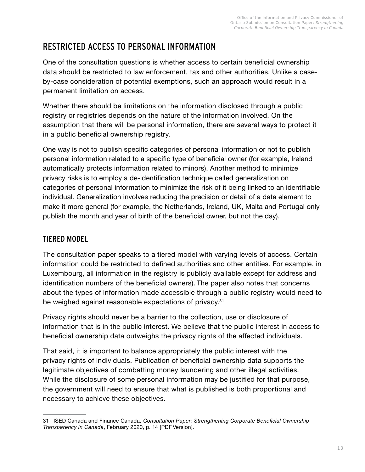# <span id="page-13-0"></span>RESTRICTED ACCESS TO PERSONAL INFORMATION

One of the consultation questions is whether access to certain beneficial ownership data should be restricted to law enforcement, tax and other authorities. Unlike a caseby-case consideration of potential exemptions, such an approach would result in a permanent limitation on access.

Whether there should be limitations on the information disclosed through a public registry or registries depends on the nature of the information involved. On the assumption that there will be personal information, there are several ways to protect it in a public beneficial ownership registry.

One way is not to publish specific categories of personal information or not to publish personal information related to a specific type of beneficial owner (for example, Ireland automatically protects information related to minors). Another method to minimize privacy risks is to employ a de-identification technique called generalization on categories of personal information to minimize the risk of it being linked to an identifiable individual. Generalization involves reducing the precision or detail of a data element to make it more general (for example, the Netherlands, Ireland, UK, Malta and Portugal only publish the month and year of birth of the beneficial owner, but not the day).

### TIERED MODEL

The consultation paper speaks to a tiered model with varying levels of access. Certain information could be restricted to defined authorities and other entities. For example, in Luxembourg, all information in the registry is publicly available except for address and identification numbers of the beneficial owners). The paper also notes that concerns about the types of information made accessible through a public registry would need to be weighed against reasonable expectations of privacy.<sup>31</sup>

Privacy rights should never be a barrier to the collection, use or disclosure of information that is in the public interest. We believe that the public interest in access to beneficial ownership data outweighs the privacy rights of the affected individuals.

That said, it is important to balance appropriately the public interest with the privacy rights of individuals. Publication of beneficial ownership data supports the legitimate objectives of combatting money laundering and other illegal activities. While the disclosure of some personal information may be justified for that purpose, the government will need to ensure that what is published is both proportional and necessary to achieve these objectives.

<sup>31</sup> ISED Canada and Finance Canada, *Consultation Paper: Strengthening Corporate Beneficial Ownership Transparency in Canada*, February 2020, p. 14 [PDF Version].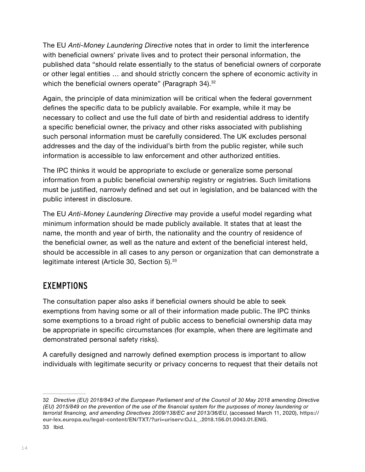The EU *Anti-Money Laundering Directive* notes that in order to limit the interference with beneficial owners' private lives and to protect their personal information, the published data "should relate essentially to the status of beneficial owners of corporate or other legal entities … and should strictly concern the sphere of economic activity in which the beneficial owners operate" (Paragraph 34).<sup>32</sup>

Again, the principle of data minimization will be critical when the federal government defines the specific data to be publicly available. For example, while it may be necessary to collect and use the full date of birth and residential address to identify a specific beneficial owner, the privacy and other risks associated with publishing such personal information must be carefully considered. The UK excludes personal addresses and the day of the individual's birth from the public register, while such information is accessible to law enforcement and other authorized entities.

The IPC thinks it would be appropriate to exclude or generalize some personal information from a public beneficial ownership registry or registries. Such limitations must be justified, narrowly defined and set out in legislation, and be balanced with the public interest in disclosure.

The EU *Anti-Money Laundering Directive* may provide a useful model regarding what minimum information should be made publicly available. It states that at least the name, the month and year of birth, the nationality and the country of residence of the beneficial owner, as well as the nature and extent of the beneficial interest held, should be accessible in all cases to any person or organization that can demonstrate a legitimate interest (Article 30, Section 5).<sup>33</sup>

## <span id="page-14-0"></span>EXEMPTIONS

The consultation paper also asks if beneficial owners should be able to seek exemptions from having some or all of their information made public. The IPC thinks some exemptions to a broad right of public access to beneficial ownership data may be appropriate in specific circumstances (for example, when there are legitimate and demonstrated personal safety risks).

A carefully designed and narrowly defined exemption process is important to allow individuals with legitimate security or privacy concerns to request that their details not

<sup>32</sup> *Directive (EU) 2018/843 of the European Parliament and of the Council of 30 May 2018 amending Directive (EU) 2015/849 on the prevention of the use of the financial system for the purposes of money laundering or terrorist financing, and amending Directives 2009/138/EC and 2013/36/EU*, (accessed March 11, 2020), **[https://](https://eur-lex.europa.eu/legal-content/EN/TXT/?uri=uriserv:OJ.L_.2018.156.01.0043.01.ENG) [eur-lex.europa.eu/legal-content/EN/TXT/?uri=uriserv:OJ.L\\_.2018.156.01.0043.01.ENG](https://eur-lex.europa.eu/legal-content/EN/TXT/?uri=uriserv:OJ.L_.2018.156.01.0043.01.ENG)**. 33 Ibid.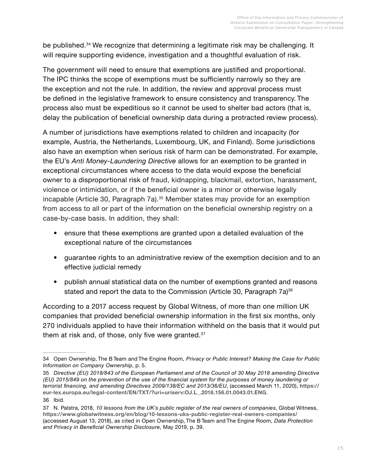be published.<sup>34</sup> We recognize that determining a legitimate risk may be challenging. It will require supporting evidence, investigation and a thoughtful evaluation of risk.

The government will need to ensure that exemptions are justified and proportional. The IPC thinks the scope of exemptions must be sufficiently narrowly so they are the exception and not the rule. In addition, the review and approval process must be defined in the legislative framework to ensure consistency and transparency. The process also must be expeditious so it cannot be used to shelter bad actors (that is, delay the publication of beneficial ownership data during a protracted review process).

A number of jurisdictions have exemptions related to children and incapacity (for example, Austria, the Netherlands, Luxembourg, UK, and Finland). Some jurisdictions also have an exemption when serious risk of harm can be demonstrated. For example, the EU's *Anti Money-Laundering Directive* allows for an exemption to be granted in exceptional circumstances where access to the data would expose the beneficial owner to a disproportional risk of fraud, kidnapping, blackmail, extortion, harassment, violence or intimidation, or if the beneficial owner is a minor or otherwise legally incapable (Article 30, Paragraph 7a).<sup>35</sup> Member states may provide for an exemption from access to all or part of the information on the beneficial ownership registry on a case-by-case basis. In addition, they shall:

- ensure that these exemptions are granted upon a detailed evaluation of the exceptional nature of the circumstances
- guarantee rights to an administrative review of the exemption decision and to an effective judicial remedy
- publish annual statistical data on the number of exemptions granted and reasons stated and report the data to the Commission (Article 30, Paragraph 7a)<sup>36</sup>

According to a 2017 access request by Global Witness, of more than one million UK companies that provided beneficial ownership information in the first six months, only 270 individuals applied to have their information withheld on the basis that it would put them at risk and, of those, only five were granted.<sup>37</sup>

36 Ibid.

<sup>34</sup> Open Ownership, The B Team and The Engine Room, *Privacy or Public Interest? Making the Case for Public Information on Company Ownership*, p. 5.

<sup>35</sup> *Directive (EU) 2018/843 of the European Parliament and of the Council of 30 May 2018 amending Directive (EU) 2015/849 on the prevention of the use of the financial system for the purposes of money laundering or terrorist financing, and amending Directives 2009/138/EC and 2013/36/EU*, (accessed March 11, 2020), **[https://](https://eur-lex.europa.eu/legal-content/EN/TXT/?uri=uriserv:OJ.L_.2018.156.01.0043.01.ENG) [eur-lex.europa.eu/legal-content/EN/TXT/?uri=uriserv:OJ.L\\_.2018.156.01.0043.01.ENG](https://eur-lex.europa.eu/legal-content/EN/TXT/?uri=uriserv:OJ.L_.2018.156.01.0043.01.ENG)**.

<sup>37</sup> N. Palstra, 2018, *10 lessons from the UK's public register of the real owners of companies*, Global Witness, **<https://www.globalwitness.org/en/blog/10-lessons-uks-public-register-real-owners-companies/>** (accessed August 13, 2018), as cited in Open Ownership, The B Team and The Engine Room, *Data Protection and Privacy in Beneficial Ownership Disclosure*, May 2019, p. 39.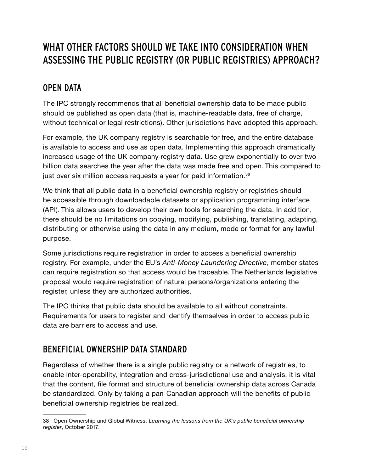# WHAT OTHER FACTORS SHOULD WE TAKE INTO CONSIDERATION WHEN ASSESSING THE PUBLIC REGISTRY (OR PUBLIC REGISTRIES) APPROACH?

## <span id="page-16-0"></span>OPEN DATA

The IPC strongly recommends that all beneficial ownership data to be made public should be published as open data (that is, machine-readable data, free of charge, without technical or legal restrictions). Other jurisdictions have adopted this approach.

For example, the UK company registry is searchable for free, and the entire database is available to access and use as open data. Implementing this approach dramatically increased usage of the UK company registry data. Use grew exponentially to over two billion data searches the year after the data was made free and open. This compared to just over six million access requests a year for paid information.<sup>38</sup>

We think that all public data in a beneficial ownership registry or registries should be accessible through downloadable datasets or application programming interface (API). This allows users to develop their own tools for searching the data. In addition, there should be no limitations on copying, modifying, publishing, translating, adapting, distributing or otherwise using the data in any medium, mode or format for any lawful purpose.

Some jurisdictions require registration in order to access a beneficial ownership registry. For example, under the EU's *Anti-Money Laundering Directive*, member states can require registration so that access would be traceable. The Netherlands legislative proposal would require registration of natural persons/organizations entering the register, unless they are authorized authorities.

The IPC thinks that public data should be available to all without constraints. Requirements for users to register and identify themselves in order to access public data are barriers to access and use.

### BENEFICIAL OWNERSHIP DATA STANDARD

Regardless of whether there is a single public registry or a network of registries, to enable inter-operability, integration and cross-jurisdictional use and analysis, it is vital that the content, file format and structure of beneficial ownership data across Canada be standardized. Only by taking a pan-Canadian approach will the benefits of public beneficial ownership registries be realized.

<sup>38</sup> Open Ownership and Global Witness, *Learning the lessons from the UK's public beneficial ownership register*, October 2017.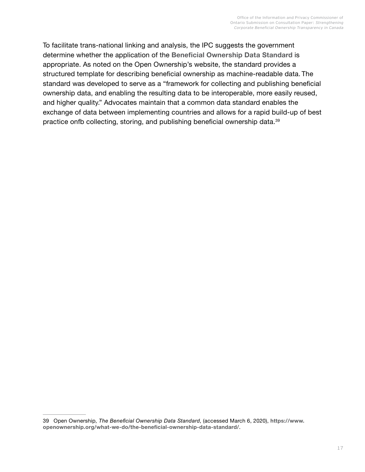To facilitate trans-national linking and analysis, the IPC suggests the government determine whether the application of the **[Beneficial Ownership Data Standard](http://standard.openownership.org/en/v0-2-0/)** is appropriate. As noted on the Open Ownership's website, the standard provides a structured template for describing beneficial ownership as machine-readable data. The standard was developed to serve as a "framework for collecting and publishing beneficial ownership data, and enabling the resulting data to be interoperable, more easily reused, and higher quality." Advocates maintain that a common data standard enables the exchange of data between implementing countries and allows for a rapid build-up of best practice onfb collecting, storing, and publishing beneficial ownership data.<sup>39</sup>

<sup>39</sup> Open Ownership, *The Beneficial Ownership Data Standard*, (accessed March 6, 2020), **[https://www.](https://www.openownership.org/what-we-do/the-beneficial-ownership-data-standard/) [openownership.org/what-we-do/the-beneficial-ownership-data-standard/](https://www.openownership.org/what-we-do/the-beneficial-ownership-data-standard/)**.